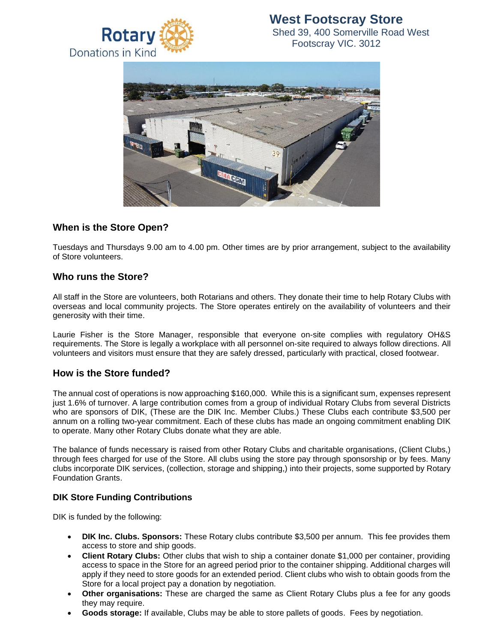

# **West Footscray Store** Shed 39, 400 Somerville Road West

Footscray VIC. 3012



# **When is the Store Open?**

Tuesdays and Thursdays 9.00 am to 4.00 pm. Other times are by prior arrangement, subject to the availability of Store volunteers.

## **Who runs the Store?**

All staff in the Store are volunteers, both Rotarians and others. They donate their time to help Rotary Clubs with overseas and local community projects. The Store operates entirely on the availability of volunteers and their generosity with their time.

Laurie Fisher is the Store Manager, responsible that everyone on-site complies with regulatory OH&S requirements. The Store is legally a workplace with all personnel on-site required to always follow directions. All volunteers and visitors must ensure that they are safely dressed, particularly with practical, closed footwear.

#### **How is the Store funded?**

The annual cost of operations is now approaching \$160,000. While this is a significant sum, expenses represent just 1.6% of turnover. A large contribution comes from a group of individual Rotary Clubs from several Districts who are sponsors of DIK, (These are the DIK Inc. Member Clubs.) These Clubs each contribute \$3,500 per annum on a rolling two-year commitment. Each of these clubs has made an ongoing commitment enabling DIK to operate. Many other Rotary Clubs donate what they are able.

The balance of funds necessary is raised from other Rotary Clubs and charitable organisations, (Client Clubs,) through fees charged for use of the Store. All clubs using the store pay through sponsorship or by fees. Many clubs incorporate DIK services, (collection, storage and shipping,) into their projects, some supported by Rotary Foundation Grants.

#### **DIK Store Funding Contributions**

DIK is funded by the following:

- **DIK Inc. Clubs. Sponsors:** These Rotary clubs contribute \$3,500 per annum. This fee provides them access to store and ship goods.
- **Client Rotary Clubs:** Other clubs that wish to ship a container donate \$1,000 per container, providing access to space in the Store for an agreed period prior to the container shipping. Additional charges will apply if they need to store goods for an extended period. Client clubs who wish to obtain goods from the Store for a local project pay a donation by negotiation.
- **Other organisations:** These are charged the same as Client Rotary Clubs plus a fee for any goods they may require.
- **Goods storage:** If available, Clubs may be able to store pallets of goods. Fees by negotiation.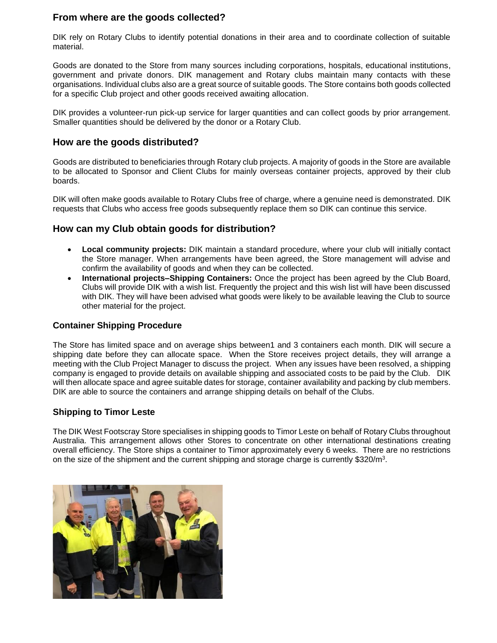## **From where are the goods collected?**

DIK rely on Rotary Clubs to identify potential donations in their area and to coordinate collection of suitable material.

Goods are donated to the Store from many sources including corporations, hospitals, educational institutions, government and private donors. DIK management and Rotary clubs maintain many contacts with these organisations. Individual clubs also are a great source of suitable goods. The Store contains both goods collected for a specific Club project and other goods received awaiting allocation.

DIK provides a volunteer-run pick-up service for larger quantities and can collect goods by prior arrangement. Smaller quantities should be delivered by the donor or a Rotary Club.

### **How are the goods distributed?**

Goods are distributed to beneficiaries through Rotary club projects. A majority of goods in the Store are available to be allocated to Sponsor and Client Clubs for mainly overseas container projects, approved by their club boards.

DIK will often make goods available to Rotary Clubs free of charge, where a genuine need is demonstrated. DIK requests that Clubs who access free goods subsequently replace them so DIK can continue this service.

### **How can my Club obtain goods for distribution?**

- **Local community projects:** DIK maintain a standard procedure, where your club will initially contact the Store manager. When arrangements have been agreed, the Store management will advise and confirm the availability of goods and when they can be collected.
- **International projects–Shipping Containers:** Once the project has been agreed by the Club Board, Clubs will provide DIK with a wish list. Frequently the project and this wish list will have been discussed with DIK. They will have been advised what goods were likely to be available leaving the Club to source other material for the project.

#### **Container Shipping Procedure**

The Store has limited space and on average ships between1 and 3 containers each month. DIK will secure a shipping date before they can allocate space. When the Store receives project details, they will arrange a meeting with the Club Project Manager to discuss the project. When any issues have been resolved, a shipping company is engaged to provide details on available shipping and associated costs to be paid by the Club. DIK will then allocate space and agree suitable dates for storage, container availability and packing by club members. DIK are able to source the containers and arrange shipping details on behalf of the Clubs.

#### **Shipping to Timor Leste**

The DIK West Footscray Store specialises in shipping goods to Timor Leste on behalf of Rotary Clubs throughout Australia. This arrangement allows other Stores to concentrate on other international destinations creating overall efficiency. The Store ships a container to Timor approximately every 6 weeks. There are no restrictions on the size of the shipment and the current shipping and storage charge is currently \$320/m<sup>3</sup>.